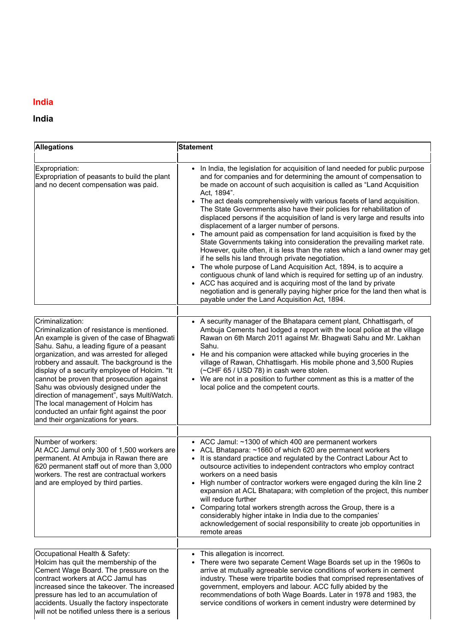## India

## India

| <b>Allegations</b>                                                                                                                                                                                                                                                                                                                                                                                      | <b>Statement</b>                                                                                                                                                                                                                                                                                                                                                                                                                                                                                                                                                                                                                                                                                                                                                                                                                                                                                                                                                                                                                                                                                                                                                        |
|---------------------------------------------------------------------------------------------------------------------------------------------------------------------------------------------------------------------------------------------------------------------------------------------------------------------------------------------------------------------------------------------------------|-------------------------------------------------------------------------------------------------------------------------------------------------------------------------------------------------------------------------------------------------------------------------------------------------------------------------------------------------------------------------------------------------------------------------------------------------------------------------------------------------------------------------------------------------------------------------------------------------------------------------------------------------------------------------------------------------------------------------------------------------------------------------------------------------------------------------------------------------------------------------------------------------------------------------------------------------------------------------------------------------------------------------------------------------------------------------------------------------------------------------------------------------------------------------|
| Expropriation:<br>Expropriation of peasants to build the plant<br>and no decent compensation was paid.                                                                                                                                                                                                                                                                                                  | • In India, the legislation for acquisition of land needed for public purpose<br>and for companies and for determining the amount of compensation to<br>be made on account of such acquisition is called as "Land Acquisition<br>Act, 1894".<br>• The act deals comprehensively with various facets of land acquisition.<br>The State Governments also have their policies for rehabilitation of<br>displaced persons if the acquisition of land is very large and results into<br>displacement of a larger number of persons.<br>The amount paid as compensation for land acquisition is fixed by the<br>State Governments taking into consideration the prevailing market rate.<br>However, quite often, it is less than the rates which a land owner may get<br>if he sells his land through private negotiation.<br>The whole purpose of Land Acquisition Act, 1894, is to acquire a<br>contiguous chunk of land which is required for setting up of an industry.<br>• ACC has acquired and is acquiring most of the land by private<br>negotiation and is generally paying higher price for the land then what is<br>payable under the Land Acquisition Act, 1894. |
| Criminalization:<br>Criminalization of resistance is mentioned.<br>An example is given of the case of Bhagwati<br>Sahu. Sahu, a leading figure of a peasant                                                                                                                                                                                                                                             | • A security manager of the Bhatapara cement plant, Chhattisgarh, of<br>Ambuja Cements had lodged a report with the local police at the village<br>Rawan on 6th March 2011 against Mr. Bhagwati Sahu and Mr. Lakhan<br>Sahu.                                                                                                                                                                                                                                                                                                                                                                                                                                                                                                                                                                                                                                                                                                                                                                                                                                                                                                                                            |
| organization, and was arrested for alleged<br>robbery and assault. The background is the<br>display of a security employee of Holcim. "It<br>cannot be proven that prosecution against<br>Sahu was obviously designed under the<br>direction of management", says MultiWatch.<br>The local management of Holcim has<br>conducted an unfair fight against the poor<br>and their organizations for years. | • He and his companion were attacked while buying groceries in the<br>village of Rawan, Chhattisgarh. His mobile phone and 3,500 Rupies<br>(~CHF 65 / USD 78) in cash were stolen.<br>We are not in a position to further comment as this is a matter of the<br>local police and the competent courts.                                                                                                                                                                                                                                                                                                                                                                                                                                                                                                                                                                                                                                                                                                                                                                                                                                                                  |
| Number of workers:                                                                                                                                                                                                                                                                                                                                                                                      | • ACC Jamul: ~1300 of which 400 are permanent workers                                                                                                                                                                                                                                                                                                                                                                                                                                                                                                                                                                                                                                                                                                                                                                                                                                                                                                                                                                                                                                                                                                                   |
| At ACC Jamul only 300 of 1,500 workers are<br>permanent. At Ambuja in Rawan there are<br>620 permanent staff out of more than 3,000<br>workers. The rest are contractual workers<br>and are employed by third parties.                                                                                                                                                                                  | • ACL Bhatapara: ~1660 of which 620 are permanent workers<br>It is standard practice and regulated by the Contract Labour Act to<br>$\bullet$<br>outsource activities to independent contractors who employ contract<br>workers on a need basis<br>• High number of contractor workers were engaged during the kiln line 2<br>expansion at ACL Bhatapara; with completion of the project, this number<br>will reduce further<br>• Comparing total workers strength across the Group, there is a<br>considerably higher intake in India due to the companies'                                                                                                                                                                                                                                                                                                                                                                                                                                                                                                                                                                                                            |
|                                                                                                                                                                                                                                                                                                                                                                                                         | acknowledgement of social responsibility to create job opportunities in<br>remote areas                                                                                                                                                                                                                                                                                                                                                                                                                                                                                                                                                                                                                                                                                                                                                                                                                                                                                                                                                                                                                                                                                 |
| Occupational Health & Safety:<br>Holcim has quit the membership of the<br>Cement Wage Board. The pressure on the<br>contract workers at ACC Jamul has<br>increased since the takeover. The increased<br>pressure has led to an accumulation of<br>accidents. Usually the factory inspectorate<br>will not be notified unless there is a serious                                                         | This allegation is incorrect.<br>There were two separate Cement Wage Boards set up in the 1960s to<br>arrive at mutually agreeable service conditions of workers in cement<br>industry. These were tripartite bodies that comprised representatives of<br>government, employers and labour. ACC fully abided by the<br>recommendations of both Wage Boards. Later in 1978 and 1983, the<br>service conditions of workers in cement industry were determined by                                                                                                                                                                                                                                                                                                                                                                                                                                                                                                                                                                                                                                                                                                          |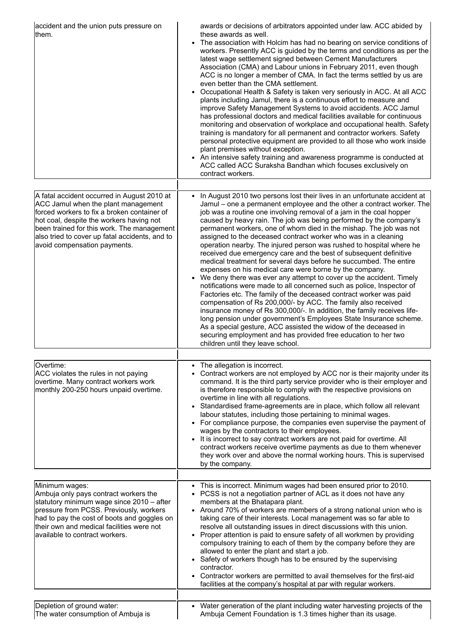| accident and the union puts pressure on<br>them.                                                                                                                                                                                                                                                              | awards or decisions of arbitrators appointed under law. ACC abided by<br>these awards as well.<br>• The association with Holcim has had no bearing on service conditions of<br>workers. Presently ACC is guided by the terms and conditions as per the<br>latest wage settlement signed between Cement Manufacturers<br>Association (CMA) and Labour unions in February 2011, even though<br>ACC is no longer a member of CMA. In fact the terms settled by us are<br>even better than the CMA settlement.<br>Occupational Health & Safety is taken very seriously in ACC. At all ACC<br>plants including Jamul, there is a continuous effort to measure and<br>improve Safety Management Systems to avoid accidents. ACC Jamul<br>has professional doctors and medical facilities available for continuous<br>monitoring and observation of workplace and occupational health. Safety<br>training is mandatory for all permanent and contractor workers. Safety<br>personal protective equipment are provided to all those who work inside<br>plant premises without exception.<br>• An intensive safety training and awareness programme is conducted at<br>ACC called ACC Suraksha Bandhan which focuses exclusively on<br>contract workers.                                                                                        |
|---------------------------------------------------------------------------------------------------------------------------------------------------------------------------------------------------------------------------------------------------------------------------------------------------------------|----------------------------------------------------------------------------------------------------------------------------------------------------------------------------------------------------------------------------------------------------------------------------------------------------------------------------------------------------------------------------------------------------------------------------------------------------------------------------------------------------------------------------------------------------------------------------------------------------------------------------------------------------------------------------------------------------------------------------------------------------------------------------------------------------------------------------------------------------------------------------------------------------------------------------------------------------------------------------------------------------------------------------------------------------------------------------------------------------------------------------------------------------------------------------------------------------------------------------------------------------------------------------------------------------------------------------------------|
| A fatal accident occurred in August 2010 at<br>ACC Jamul when the plant management<br>forced workers to fix a broken container of<br>hot coal, despite the workers having not<br>been trained for this work. The management<br>also tried to cover up fatal accidents, and to<br>avoid compensation payments. | In August 2010 two persons lost their lives in an unfortunate accident at<br>Jamul – one a permanent employee and the other a contract worker. The<br>job was a routine one involving removal of a jam in the coal hopper<br>caused by heavy rain. The job was being performed by the company's<br>permanent workers, one of whom died in the mishap. The job was not<br>assigned to the deceased contract worker who was in a cleaning<br>operation nearby. The injured person was rushed to hospital where he<br>received due emergency care and the best of subsequent definitive<br>medical treatment for several days before he succumbed. The entire<br>expenses on his medical care were borne by the company.<br>We deny there was ever any attempt to cover up the accident. Timely<br>notifications were made to all concerned such as police, Inspector of<br>Factories etc. The family of the deceased contract worker was paid<br>compensation of Rs 200,000/- by ACC. The family also received<br>insurance money of Rs 300,000/-. In addition, the family receives life-<br>long pension under government's Employees State Insurance scheme.<br>As a special gesture, ACC assisted the widow of the deceased in<br>securing employment and has provided free education to her two<br>children until they leave school. |
| Overtime:<br>ACC violates the rules in not paying<br>overtime. Many contract workers work<br>monthly 200-250 hours unpaid overtime.                                                                                                                                                                           | The allegation is incorrect.<br>Contract workers are not employed by ACC nor is their majority under its<br>command. It is the third party service provider who is their employer and<br>is therefore responsible to comply with the respective provisions on<br>overtime in line with all regulations.<br>Standardised frame-agreements are in place, which follow all relevant<br>$\bullet$<br>labour statutes, including those pertaining to minimal wages.<br>• For compliance purpose, the companies even supervise the payment of<br>wages by the contractors to their employees.<br>It is incorrect to say contract workers are not paid for overtime. All<br>٠<br>contract workers receive overtime payments as due to them whenever<br>they work over and above the normal working hours. This is supervised<br>by the company.                                                                                                                                                                                                                                                                                                                                                                                                                                                                                               |
| Minimum wages:<br>Ambuja only pays contract workers the<br>statutory minimum wage since 2010 - after<br>pressure from PCSS. Previously, workers<br>had to pay the cost of boots and goggles on<br>their own and medical facilities were not<br>available to contract workers.                                 | • This is incorrect. Minimum wages had been ensured prior to 2010.<br>• PCSS is not a negotiation partner of ACL as it does not have any<br>members at the Bhatapara plant.<br>• Around 70% of workers are members of a strong national union who is<br>taking care of their interests. Local management was so far able to<br>resolve all outstanding issues in direct discussions with this union.<br>Proper attention is paid to ensure safety of all workmen by providing<br>compulsory training to each of them by the company before they are<br>allowed to enter the plant and start a job.<br>• Safety of workers though has to be ensured by the supervising<br>contractor.<br>Contractor workers are permitted to avail themselves for the first-aid<br>٠<br>facilities at the company's hospital at par with regular workers.                                                                                                                                                                                                                                                                                                                                                                                                                                                                                               |
| Depletion of ground water:<br>The water consumption of Ambuja is                                                                                                                                                                                                                                              | • Water generation of the plant including water harvesting projects of the<br>Ambuja Cement Foundation is 1.3 times higher than its usage.                                                                                                                                                                                                                                                                                                                                                                                                                                                                                                                                                                                                                                                                                                                                                                                                                                                                                                                                                                                                                                                                                                                                                                                             |